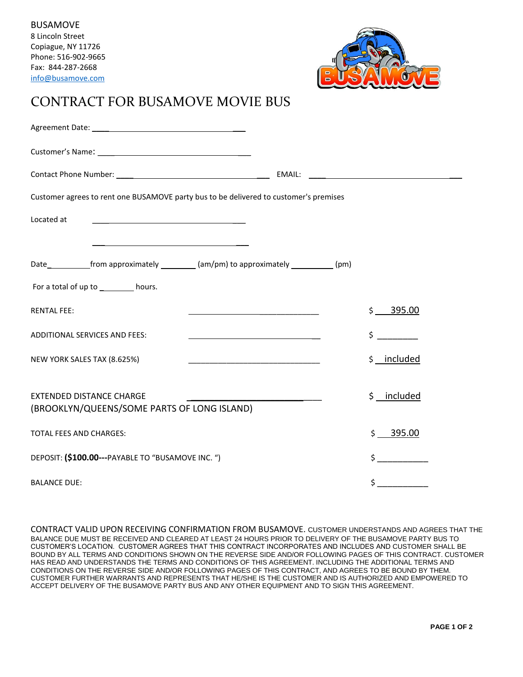

## CONTRACT FOR BUSAMOVE MOVIE BUS

| Customer agrees to rent one BUSAMOVE party bus to be delivered to customer's premises    |                       |
|------------------------------------------------------------------------------------------|-----------------------|
| Located at                                                                               |                       |
| <u> 1989 - Johann Barbara, martxa alemaniar amerikan a</u>                               |                       |
| Date_____________from approximately ___________(am/pm) to approximately ____________(pm) |                       |
| For a total of up to __________ hours.                                                   |                       |
| <b>RENTAL FEE:</b>                                                                       | \$395.00              |
| <b>ADDITIONAL SERVICES AND FEES:</b>                                                     | $\sharp$ and $\sharp$ |
| NEW YORK SALES TAX (8.625%)                                                              | \$ _ included         |
|                                                                                          |                       |
| <b>EXTENDED DISTANCE CHARGE</b><br>(BROOKLYN/QUEENS/SOME PARTS OF LONG ISLAND)           | \$ _ included         |
| <b>TOTAL FEES AND CHARGES:</b>                                                           | \$395.00              |
| DEPOSIT: (\$100.00---PAYABLE TO "BUSAMOVE INC. ")                                        | $\frac{1}{2}$         |
| <b>BALANCE DUE:</b>                                                                      | \$ _                  |

CONTRACT VALID UPON RECEIVING CONFIRMATION FROM BUSAMOVE. CUSTOMER UNDERSTANDS AND AGREES THAT THE BALANCE DUE MUST BE RECEIVED AND CLEARED AT LEAST 24 HOURS PRIOR TO DELIVERY OF THE BUSAMOVE PARTY BUS TO CUSTOMER'S LOCATION. CUSTOMER AGREES THAT THIS CONTRACT INCORPORATES AND INCLUDES AND CUSTOMER SHALL BE BOUND BY ALL TERMS AND CONDITIONS SHOWN ON THE REVERSE SIDE AND/OR FOLLOWING PAGES OF THIS CONTRACT. CUSTOMER HAS READ AND UNDERSTANDS THE TERMS AND CONDITIONS OF THIS AGREEMENT. INCLUDING THE ADDITIONAL TERMS AND CONDITIONS ON THE REVERSE SIDE AND/OR FOLLOWING PAGES OF THIS CONTRACT, AND AGREES TO BE BOUND BY THEM. CUSTOMER FURTHER WARRANTS AND REPRESENTS THAT HE/SHE IS THE CUSTOMER AND IS AUTHORIZED AND EMPOWERED TO ACCEPT DELIVERY OF THE BUSAMOVE PARTY BUS AND ANY OTHER EQUIPMENT AND TO SIGN THIS AGREEMENT.